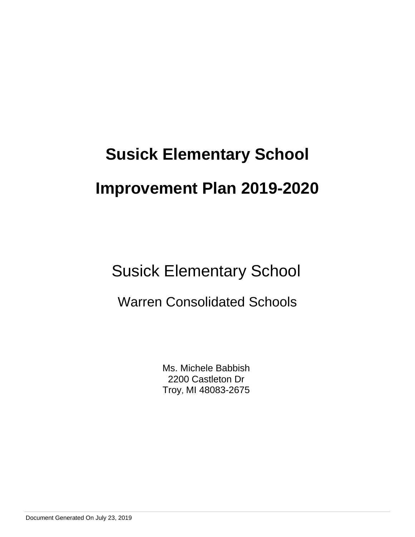# **Susick Elementary School Improvement Plan 2019-2020**

## Susick Elementary School

### Warren Consolidated Schools

Ms. Michele Babbish 2200 Castleton Dr Troy, MI 48083-2675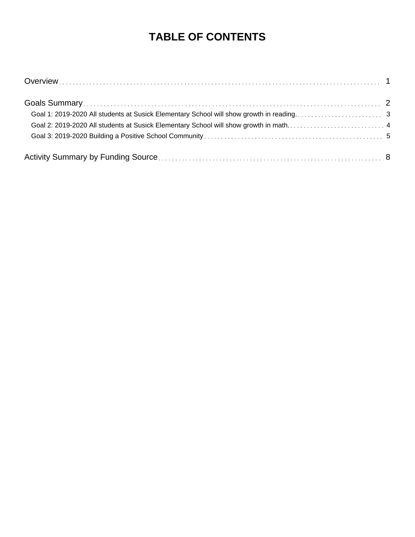### **TABLE OF CONTENTS**

| Goal 2: 2019-2020 All students at Susick Elementary School will show growth in math 4 |  |
|---------------------------------------------------------------------------------------|--|
|                                                                                       |  |
|                                                                                       |  |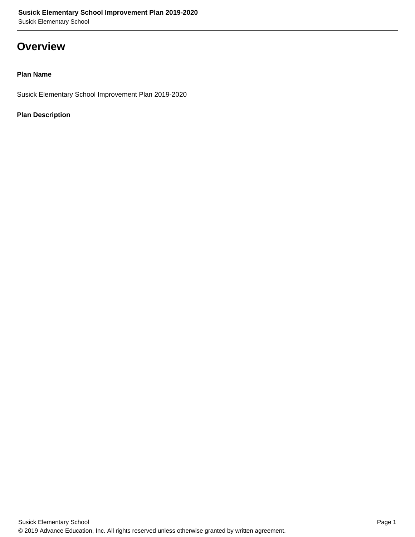### **Overview**

#### **Plan Name**

Susick Elementary School Improvement Plan 2019-2020

#### **Plan Description**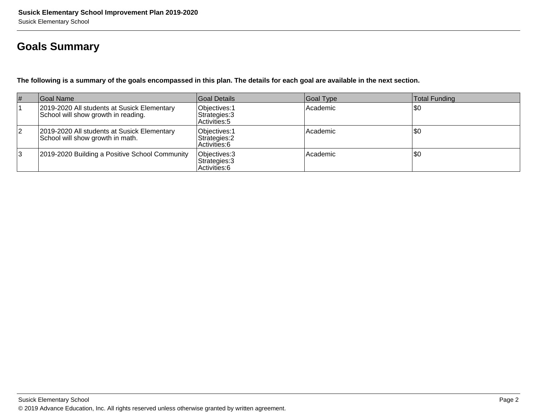### **Goals Summary**

**The following is a summary of the goals encompassed in this plan. The details for each goal are available in the next section.**

| # | Goal Name                                                                          | Goal Details                                    | Goal Type       | Total Funding |
|---|------------------------------------------------------------------------------------|-------------------------------------------------|-----------------|---------------|
|   | 2019-2020 All students at Susick Elementary<br>School will show growth in reading. | Objectives: 1<br>Strategies: 3<br>Activities: 5 | <b>Academic</b> | \$0           |
| 2 | 2019-2020 All students at Susick Elementary<br>School will show growth in math.    | Objectives: 1<br>Strategies: 2<br>Activities: 6 | <b>Academic</b> | \$0           |
| 3 | 2019-2020 Building a Positive School Community                                     | Objectives: 3<br>Strategies: 3<br>Activities: 6 | Academic        | 50ء           |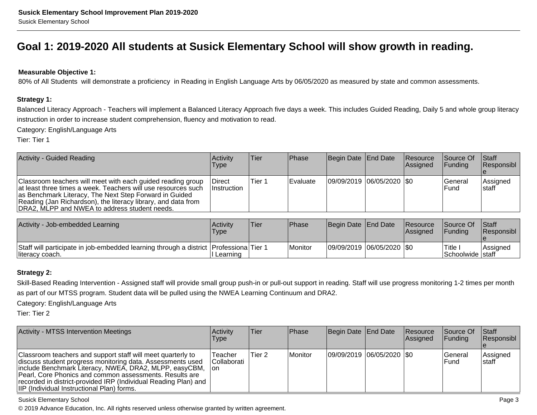### **Goal 1: 2019-2020 All students at Susick Elementary School will show growth in reading.**

#### **Measurable Objective 1:**

80% of All Students will demonstrate a proficiency in Reading in English Language Arts by 06/05/2020 as measured by state and common assessments.

#### **Strategy 1:**

Balanced Literacy Approach - Teachers will implement a Balanced Literacy Approach five days a week. This includes Guided Reading, Daily 5 and whole group literacyinstruction in order to increase student comprehension, fluency and motivation to read.

Category: English/Language Arts

Tier: Tier 1

| <b>Activity - Guided Reading</b>                                                                                                                                                                                                                                                                         | Activity<br><b>Type</b>              | lTier. | <b>IPhase</b>    | Begin Date End Date       | <b>Resource</b><br>Assigned | <b>Source Of</b><br><b>IFunding</b> | <b>Staff</b><br> Responsibl |
|----------------------------------------------------------------------------------------------------------------------------------------------------------------------------------------------------------------------------------------------------------------------------------------------------------|--------------------------------------|--------|------------------|---------------------------|-----------------------------|-------------------------------------|-----------------------------|
| Classroom teachers will meet with each guided reading group<br>at least three times a week. Teachers will use resources such<br>as Benchmark Literacy, The Next Step Forward in Guided<br>Reading (Jan Richardson), the literacy library, and data from<br>DRA2, MLPP and NWEA to address student needs. | <b>IDirect</b><br><i>Instruction</i> | Tier 1 | <b>IEvaluate</b> | 09/09/2019 06/05/2020 \$0 |                             | lGeneral<br>IFund                   | Assigned<br>Istaff          |

| Activity - Job-embedded Learning                                                                         | Activity<br>Type | <b>Tier</b> | Phase     | Begin Date End Date |                             | <b>Resource</b><br><b>Assigned</b> | Source Of<br><b>IFunding</b>       | <b>Staff</b><br><b>Responsibl</b> |
|----------------------------------------------------------------------------------------------------------|------------------|-------------|-----------|---------------------|-----------------------------|------------------------------------|------------------------------------|-----------------------------------|
| Staff will participate in job-embedded learning through a district Professiona Tier 1<br>literacy coach. | I Learning       |             | l Monitor |                     | 09/09/2019  06/05/2020  \$0 |                                    | Title:<br><b>Schoolwide Istaff</b> | <b>Assigned</b>                   |

#### **Strategy 2:**

Skill-Based Reading Intervention - Assigned staff will provide small group push-in or pull-out support in reading. Staff will use progress monitoring 1-2 times per monthas part of our MTSS program. Student data will be pulled using the NWEA Learning Continuum and DRA2.

Category: English/Language Arts

Tier: Tier 2

| <b>Activity - MTSS Intervention Meetings</b>                                                                                                                                                                                                                                                                                                                    | <b>Activity</b><br>Type        | lTier. | <b>Phase</b>   | Begin Date   End Date       | Resource<br><b>Assigned</b> | Source Of<br><b>IFunding</b> | $\vert$ Staff<br><b>Responsibl</b> |
|-----------------------------------------------------------------------------------------------------------------------------------------------------------------------------------------------------------------------------------------------------------------------------------------------------------------------------------------------------------------|--------------------------------|--------|----------------|-----------------------------|-----------------------------|------------------------------|------------------------------------|
| Classroom teachers and support staff will meet quarterly to<br>discuss student progress monitoring data. Assessments used<br>include Benchmark Literacy, NWEA, DRA2, MLPP, easyCBM,<br>Pearl, Core Phonics and common assessments. Results are<br>recorded in district-provided IRP (Individual Reading Plan) and<br>IIP (Individual Instructional Plan) forms. | Teacher<br>Collaborati<br>Ton. | Tier 2 | <b>Monitor</b> | 09/09/2019  06/05/2020  \$0 |                             | lGeneral<br>lFund            | Assigned<br><b>Istaff</b>          |

#### Susick Elementary School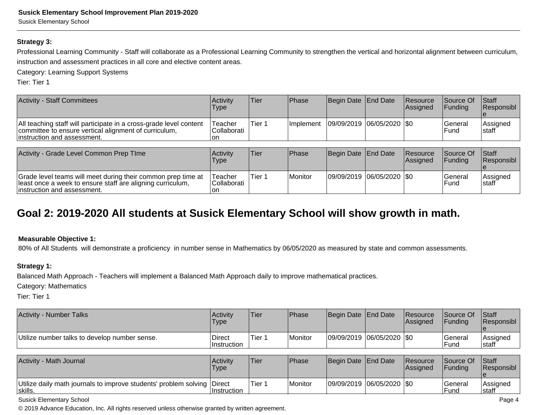Susick Elementary School

#### **Strategy 3:**

Professional Learning Community - Staff will collaborate as a Professional Learning Community to strengthen the vertical and horizontal alignment between curriculum,instruction and assessment practices in all core and elective content areas.

Category: Learning Support Systems

Tier: Tier 1

| <b>Activity - Staff Committees</b>                                                                                                                          | Activity<br>Type              | Tier   | Phase      | Begin Date   End Date     | <b>Resource</b><br><b>Assigned</b> | <b>Source Of</b><br><b>IFunding</b> | Staff<br>Responsibl        |
|-------------------------------------------------------------------------------------------------------------------------------------------------------------|-------------------------------|--------|------------|---------------------------|------------------------------------|-------------------------------------|----------------------------|
| All teaching staff will participate in a cross-grade level content<br>committee to ensure vertical alignment of curriculum,<br>linstruction and assessment. | Teacher<br>Collaborati<br>lon | Tier 1 | Ilmplement | 09/09/2019 06/05/2020 \$0 |                                    | lGeneral<br><b>IFund</b>            | Assigned<br>Istaff         |
|                                                                                                                                                             |                               |        |            |                           |                                    |                                     |                            |
| Activity - Grade Level Common Prep TIme                                                                                                                     | Activity<br>Type              | Tier   | Phase      | Begin Date End Date       | <b>Resource</b><br><b>Assigned</b> | Source Of<br><b>IFunding</b>        | <b>Staff</b><br>Responsibl |

| Grade level teams will meet during their common prep time at<br>least once a week to ensure staff are aligning curriculum,<br>linstruction and assessment. | Teacher<br><sup>1</sup> Collaborati<br>l or | ੀ Tier ⊤ | Monitor | 09/09/2019  06/05/2020  \$0 |  | !General<br>'Funa | Assianec<br>lstafi |
|------------------------------------------------------------------------------------------------------------------------------------------------------------|---------------------------------------------|----------|---------|-----------------------------|--|-------------------|--------------------|

### **Goal 2: 2019-2020 All students at Susick Elementary School will show growth in math.**

#### **Measurable Objective 1:**

80% of All Students will demonstrate a proficiency in number sense in Mathematics by 06/05/2020 as measured by state and common assessments.

#### **Strategy 1:**

Balanced Math Approach - Teachers will implement a Balanced Math Approach daily to improve mathematical practices.

Category: Mathematics

Tier: Tier 1

| <b>Activity - Number Talks</b>                | Activity<br>Type              | lTier   | Phase     | Begin Date End Date       | <b>Resource</b><br>Assigned | <b>Source Of</b><br>IFundina | <b>Staff</b><br><b>Responsibl</b> |
|-----------------------------------------------|-------------------------------|---------|-----------|---------------------------|-----------------------------|------------------------------|-----------------------------------|
| Utilize number talks to develop number sense. | ∣Direct<br><b>Instruction</b> | lTier 1 | l Monitor | 09/09/2019 06/05/2020 \$0 |                             | lGeneral<br>lFund            | Assigned<br>Istaff                |
|                                               |                               |         |           |                           |                             |                              |                                   |
| Activity - Math Journal                       | <b>Activity</b>               | lTier   | Phase     | Begin Date End Date       | <b>Resource</b>             | <b>Source Of</b>             | <b>Staff</b>                      |

| Activity - Math Journal                                                            | Activity<br>'Type | 'Tier  | <b>Phase</b> | Begin Date End Date |                             | <b>Resource</b><br><b>IAssianed</b> | Source Of<br><b>IFundina</b> | <b>Staff</b><br><b>Responsibl</b> |
|------------------------------------------------------------------------------------|-------------------|--------|--------------|---------------------|-----------------------------|-------------------------------------|------------------------------|-----------------------------------|
| Utilize daily math journals to improve students' problem solving Direct<br>skills. | ⊺Instruction      | Tier 1 | Monitor      |                     | 09/09/2019  06/05/2020  \$0 |                                     | lGeneral<br><b>IFund</b>     | Assigned<br>Istaff                |

Susick Elementary School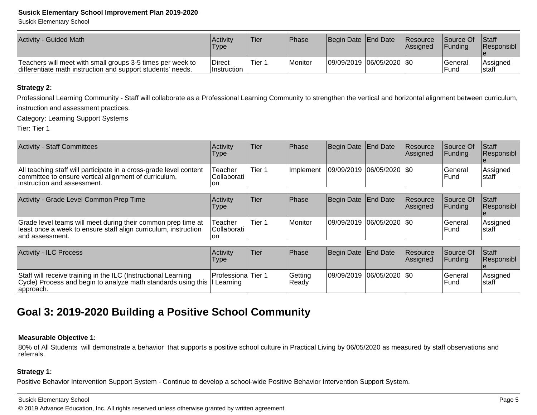#### **Susick Elementary School Improvement Plan 2019-2020**

Susick Elementary School

| Activity - Guided Math                                                                                                    | Activity<br>'Type      | <b>Tier</b> | <b>IPhase</b> | Begin Date End Date |                             | <b>Resource</b><br>lAssianed | Source Of<br><b>Funding</b> | <b>Staff</b><br><b>Responsibl</b> |
|---------------------------------------------------------------------------------------------------------------------------|------------------------|-------------|---------------|---------------------|-----------------------------|------------------------------|-----------------------------|-----------------------------------|
| Teachers will meet with small groups 3-5 times per week to<br>differentiate math instruction and support students' needs. | Direct<br>⊺Instruction | Tier 1      | l Monitor     |                     | 09/09/2019  06/05/2020  \$0 |                              | 'General<br>Fund            | lAssianed<br>Istaff               |

#### **Strategy 2:**

Professional Learning Community - Staff will collaborate as a Professional Learning Community to strengthen the vertical and horizontal alignment between curriculum, instruction and assessment practices.

Category: Learning Support Systems

Tier: Tier 1

| <b>Activity - Staff Committees</b>                                                                                                                          | Activity<br>Type               | Tier   | Phase            | Begin Date End Date       | <b>Resource</b><br>Assigned | <b>Source Of</b><br>Funding | <b>Staff</b><br>Responsibl |
|-------------------------------------------------------------------------------------------------------------------------------------------------------------|--------------------------------|--------|------------------|---------------------------|-----------------------------|-----------------------------|----------------------------|
| All teaching staff will participate in a cross-grade level content<br>committee to ensure vertical alignment of curriculum,<br>linstruction and assessment. | Teacher<br>lCollaborati<br>Ion | Tier 1 | <b>Implement</b> | 09/09/2019 06/05/2020 \$0 |                             | <b>General</b><br>IFund     | Assigned<br>Istaff         |
|                                                                                                                                                             |                                |        |                  |                           |                             |                             |                            |
| Activity - Grade Level Common Prep Time                                                                                                                     | Activity                       | Tier   | Phase            |                           |                             |                             |                            |
|                                                                                                                                                             | Type                           |        |                  | Begin Date End Date       | Resource<br>Assigned        | Source Of<br> Fundina       | <b>Staff</b><br>Responsibl |

| <b>Activity - ILC Process</b>                                                                                                                            | Activity<br>Type           | lTier | l Phase           | Begin Date End Date       | <b>Resource</b><br><b>Assigned</b> | <b>Source Of</b><br><b>IFundina</b> | <b>Staff</b><br><b>Responsibl</b> |
|----------------------------------------------------------------------------------------------------------------------------------------------------------|----------------------------|-------|-------------------|---------------------------|------------------------------------|-------------------------------------|-----------------------------------|
| Staff will receive training in the ILC (Instructional Learning<br>Cycle) Process and begin to analyze math standards using this II Learning<br>approach. | <b>IProfessionalTier 1</b> |       | Getting<br>'Ready | 09/09/2019 06/05/2020 \$0 |                                    | lGeneral<br>lFund                   | <b>Assigned</b><br>Istaff         |

### **Goal 3: 2019-2020 Building a Positive School Community**

#### **Measurable Objective 1:**

80% of All Students will demonstrate a behavior that supports a positive school culture in Practical Living by 06/05/2020 as measured by staff observations andreferrals.

#### **Strategy 1:**

Positive Behavior Intervention Support System - Continue to develop a school-wide Positive Behavior Intervention Support System.

#### Susick Elementary School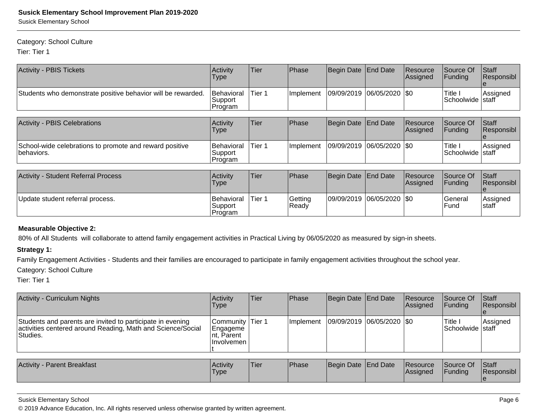Susick Elementary School

#### Category: School Culture

Tier: Tier 1

| <b>Activity - PBIS Tickets</b>                                        | Activity<br>Type                  | Tier   | Phase            | Begin Date | <b>End Date</b>    | Resource<br>Assigned  | Source Of<br>Funding          | Staff<br>Responsibl        |
|-----------------------------------------------------------------------|-----------------------------------|--------|------------------|------------|--------------------|-----------------------|-------------------------------|----------------------------|
| Students who demonstrate positive behavior will be rewarded.          | Behavioral<br> Support<br>Program | Tier 1 | Implement        | 09/09/2019 | $ 06/05/2020 $ \$0 |                       | Title I<br>Schoolwide staff   | Assigned                   |
| <b>Activity - PBIS Celebrations</b>                                   | Activity<br>Type                  | Tier   | Phase            | Begin Date | End Date           | Resource<br>Assigned  | Source Of<br>Funding          | Staff<br>Responsibl        |
| School-wide celebrations to promote and reward positive<br>behaviors. | Behavioral<br>Support<br>Program  | Tier 1 | Implement        | 09/09/2019 | $ 06/05/2020 $ \$0 |                       | Title I<br>Schoolwide   staff | Assigned                   |
| <b>Activity - Student Referral Process</b>                            | Activity<br>Type                  | Tier   | Phase            | Begin Date | <b>End Date</b>    | Resource<br> Assigned | Source Of<br>Funding          | Staff<br>Responsibl<br>Ie. |
| Update student referral process.                                      | Behavioral<br>Support<br>Program  | Tier 1 | Getting<br>Ready | 09/09/2019 | $ 06/05/2020 $ \$0 |                       | General<br>Fund               | Assigned<br>staff          |

#### **Measurable Objective 2:**

80% of All Students will collaborate to attend family engagement activities in Practical Living by 06/05/2020 as measured by sign-in sheets.

#### **Strategy 1:**

Family Engagement Activities - Students and their families are encouraged to participate in family engagement activities throughout the school year.

#### Category: School Culture

Tier: Tier 1

| <b>Activity - Curriculum Nights</b>                                                                                                   | Activity<br><b>Type</b>                                          | <b>Tier</b> | Phase     | Begin Date End Date           | Resource<br>Assigned        | Source Of<br><b>IFunding</b>   | Staff<br>Responsibl |
|---------------------------------------------------------------------------------------------------------------------------------------|------------------------------------------------------------------|-------------|-----------|-------------------------------|-----------------------------|--------------------------------|---------------------|
| Students and parents are invited to participate in evening<br>activities centered around Reading, Math and Science/Social<br>Studies. | Community Tier 1<br><b>Engageme</b><br>Int, Parent<br>Involvemen |             | Implement | $ 09/09/2019 06/05/2020 $ \$0 |                             | 'Title I<br> Schoolwide  staff | Assigned            |
|                                                                                                                                       |                                                                  |             |           |                               |                             |                                |                     |
| <b>Activity - Parent Breakfast</b>                                                                                                    | Activity<br><b>Type</b>                                          | Tier        | Phase     | Begin Date End Date           | Resource<br><b>Assigned</b> | Source Of<br><b>Funding</b>    | Staff<br>Responsibl |

#### Susick Elementary School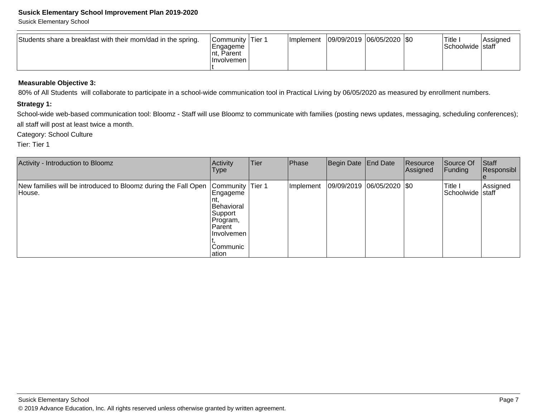#### **Susick Elementary School Improvement Plan 2019-2020**

Susick Elementary School

| Students share a breakfast with their mom/dad in the spring. | Community Tier 1<br> Engageme<br>Parent<br>⊥nt. .<br>⊺Involvemen l |  | <b>Ilmplement</b> | 09/09/2019  06/05/2020  \$0 |  |  | 'Title<br>Schoolwide   staff | Assigned |
|--------------------------------------------------------------|--------------------------------------------------------------------|--|-------------------|-----------------------------|--|--|------------------------------|----------|
|--------------------------------------------------------------|--------------------------------------------------------------------|--|-------------------|-----------------------------|--|--|------------------------------|----------|

#### **Measurable Objective 3:**

80% of All Students will collaborate to participate in a school-wide communication tool in Practical Living by 06/05/2020 as measured by enrollment numbers.

#### **Strategy 1:**

School-wide web-based communication tool: Bloomz - Staff will use Bloomz to communicate with families (posting news updates, messaging, scheduling conferences); all staff will post at least twice a month.

Category: School Culture

Tier: Tier 1

| Activity - Introduction to Bloomz                                        | Activity<br>Type                                                                                                              | Tier | Phase     | Begin Date End Date           | Resource<br>Assigned | Source Of<br> Funding       | Staff<br>Responsibl |
|--------------------------------------------------------------------------|-------------------------------------------------------------------------------------------------------------------------------|------|-----------|-------------------------------|----------------------|-----------------------------|---------------------|
| New families will be introduced to Bloomz during the Fall Open<br>House. | Community Tier 1<br>Engageme<br>Inτ.<br>Behavioral<br> Support<br>Program,<br>l Parent<br>l Involvemen<br>lCommunic<br>lation |      | Implement | $ 09/09/2019 06/05/2020 $ \$0 |                      | Title I<br>Schoolwide staff | Assigned            |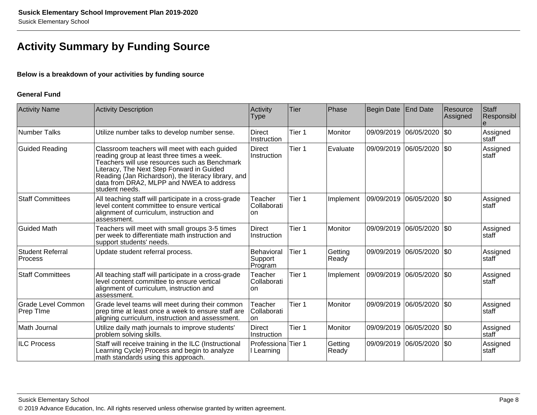### **Activity Summary by Funding Source**

#### **Below is a breakdown of your activities by funding source**

#### **General Fund**

| <b>Activity Name</b>                   | <b>Activity Description</b>                                                                                                                                                                                                                                                                                    | Activity<br><b>Type</b>                 | <b>Tier</b> | Phase            | <b>Begin Date</b> | End Date                  | Resource<br>Assigned | Staff<br>Responsibl |
|----------------------------------------|----------------------------------------------------------------------------------------------------------------------------------------------------------------------------------------------------------------------------------------------------------------------------------------------------------------|-----------------------------------------|-------------|------------------|-------------------|---------------------------|----------------------|---------------------|
| <b>Number Talks</b>                    | Utilize number talks to develop number sense.                                                                                                                                                                                                                                                                  | <b>Direct</b><br>Instruction            | Tier 1      | Monitor          | 09/09/2019        | 06/05/2020                | \$0                  | Assigned<br>staff   |
| <b>Guided Reading</b>                  | Classroom teachers will meet with each guided<br>reading group at least three times a week.<br>Teachers will use resources such as Benchmark<br>Literacy, The Next Step Forward in Guided<br>Reading (Jan Richardson), the literacy library, and<br>data from DRA2, MLPP and NWEA to address<br>student needs. | Direct<br>Instruction                   | Tier 1      | Evaluate         |                   | 09/09/2019 06/05/2020 \$0 |                      | Assigned<br>staff   |
| <b>Staff Committees</b>                | All teaching staff will participate in a cross-grade<br>level content committee to ensure vertical<br>alignment of curriculum, instruction and<br>assessment.                                                                                                                                                  | Teacher<br>Collaborati<br>on            | Tier 1      | Implement        | 09/09/2019        | 06/05/2020                | \$0                  | Assigned<br>staff   |
| <b>Guided Math</b>                     | Teachers will meet with small groups 3-5 times<br>per week to differentiate math instruction and<br>support students' needs.                                                                                                                                                                                   | <b>Direct</b><br>Instruction            | Tier 1      | Monitor          | 09/09/2019        | 06/05/2020                | \$0                  | Assigned<br>staff   |
| <b>Student Referral</b><br>Process     | Update student referral process.                                                                                                                                                                                                                                                                               | Behavioral<br>Support<br>Program        | Tier 1      | Getting<br>Ready |                   | 09/09/2019 06/05/2020 \$0 |                      | Assigned<br>staff   |
| <b>Staff Committees</b>                | All teaching staff will participate in a cross-grade<br>level content committee to ensure vertical<br>alignment of curriculum, instruction and<br>assessment.                                                                                                                                                  | Teacher<br>Collaborati<br>lon           | Tier 1      | Implement        |                   | 09/09/2019 06/05/2020     | $ $ \$0              | Assigned<br>staff   |
| <b>Grade Level Common</b><br>Prep TIme | Grade level teams will meet during their common<br>prep time at least once a week to ensure staff are<br>aligning curriculum, instruction and assessment.                                                                                                                                                      | Teacher<br>Collaborati<br>lon.          | Tier 1      | Monitor          | 09/09/2019        | 06/05/2020                | \$0                  | Assigned<br>staff   |
| Math Journal                           | Utilize daily math journals to improve students'<br>problem solving skills.                                                                                                                                                                                                                                    | Direct<br>Instruction                   | Tier 1      | Monitor          | 09/09/2019        | $ 06/05/2020 $ \$0        |                      | Assigned<br>staff   |
| <b>ILC Process</b>                     | Staff will receive training in the ILC (Instructional<br>Learning Cycle) Process and begin to analyze<br>math standards using this approach.                                                                                                                                                                   | <b>Professiona</b> Tier 1<br>l Learning |             | Getting<br>Ready |                   | 09/09/2019 06/05/2020     | \$0                  | Assigned<br>staff   |